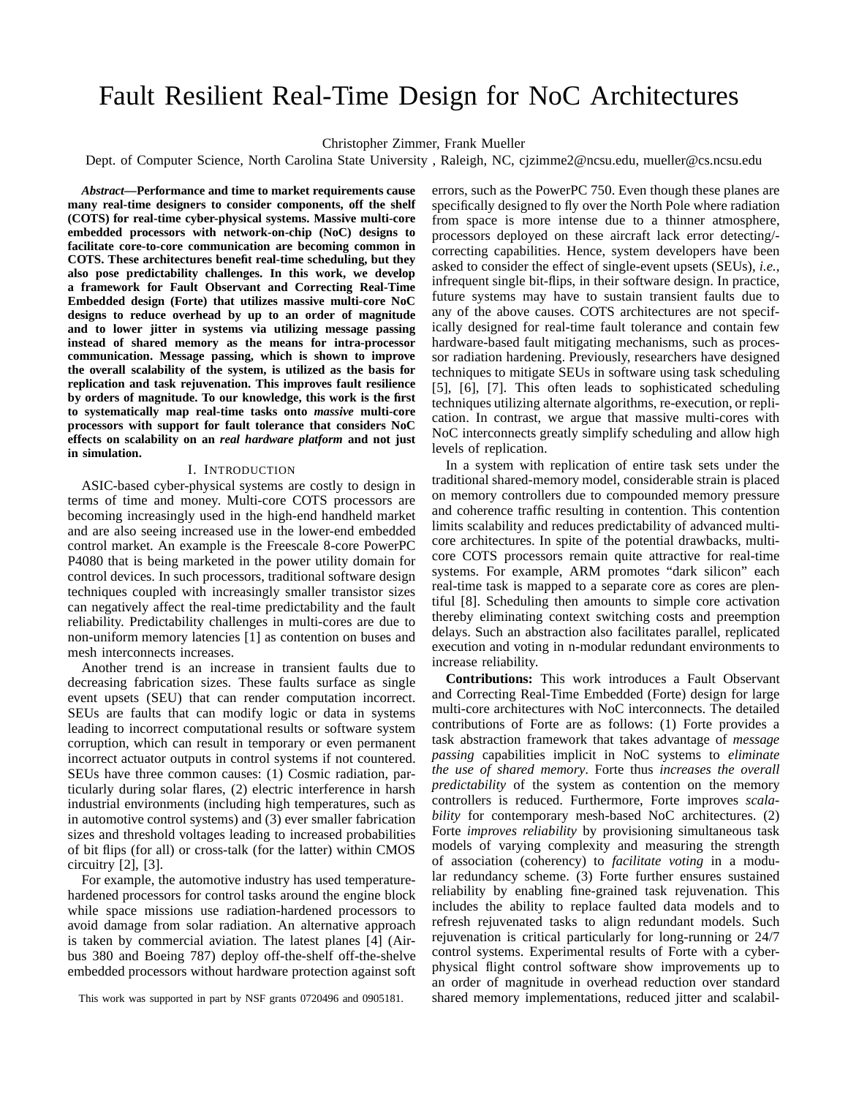# Fault Resilient Real-Time Design for NoC Architectures

Christopher Zimmer, Frank Mueller

Dept. of Computer Science, North Carolina State University , Raleigh, NC, cjzimme2@ncsu.edu, mueller@cs.ncsu.edu

*Abstract***—Performance and time to market requirements cause many real-time designers to consider components, off the shelf (COTS) for real-time cyber-physical systems. Massive multi-core embedded processors with network-on-chip (NoC) designs to facilitate core-to-core communication are becoming common in COTS. These architectures benefit real-time scheduling, but they also pose predictability challenges. In this work, we develop a framework for Fault Observant and Correcting Real-Time Embedded design (Forte) that utilizes massive multi-core NoC designs to reduce overhead by up to an order of magnitude and to lower jitter in systems via utilizing message passing instead of shared memory as the means for intra-processor communication. Message passing, which is shown to improve the overall scalability of the system, is utilized as the basis for replication and task rejuvenation. This improves fault resilience by orders of magnitude. To our knowledge, this work is the first to systematically map real-time tasks onto** *massive* **multi-core processors with support for fault tolerance that considers NoC effects on scalability on an** *real hardware platform* **and not just in simulation.**

#### I. INTRODUCTION

ASIC-based cyber-physical systems are costly to design in terms of time and money. Multi-core COTS processors are becoming increasingly used in the high-end handheld market and are also seeing increased use in the lower-end embedded control market. An example is the Freescale 8-core PowerPC P4080 that is being marketed in the power utility domain for control devices. In such processors, traditional software design techniques coupled with increasingly smaller transistor sizes can negatively affect the real-time predictability and the fault reliability. Predictability challenges in multi-cores are due to non-uniform memory latencies [1] as contention on buses and mesh interconnects increases.

Another trend is an increase in transient faults due to decreasing fabrication sizes. These faults surface as single event upsets (SEU) that can render computation incorrect. SEUs are faults that can modify logic or data in systems leading to incorrect computational results or software system corruption, which can result in temporary or even permanent incorrect actuator outputs in control systems if not countered. SEUs have three common causes: (1) Cosmic radiation, particularly during solar flares, (2) electric interference in harsh industrial environments (including high temperatures, such as in automotive control systems) and (3) ever smaller fabrication sizes and threshold voltages leading to increased probabilities of bit flips (for all) or cross-talk (for the latter) within CMOS circuitry [2], [3].

For example, the automotive industry has used temperaturehardened processors for control tasks around the engine block while space missions use radiation-hardened processors to avoid damage from solar radiation. An alternative approach is taken by commercial aviation. The latest planes [4] (Airbus 380 and Boeing 787) deploy off-the-shelf off-the-shelve embedded processors without hardware protection against soft

errors, such as the PowerPC 750. Even though these planes are specifically designed to fly over the North Pole where radiation from space is more intense due to a thinner atmosphere, processors deployed on these aircraft lack error detecting/ correcting capabilities. Hence, system developers have been asked to consider the effect of single-event upsets (SEUs), *i.e.*, infrequent single bit-flips, in their software design. In practice, future systems may have to sustain transient faults due to any of the above causes. COTS architectures are not specifically designed for real-time fault tolerance and contain few hardware-based fault mitigating mechanisms, such as processor radiation hardening. Previously, researchers have designed techniques to mitigate SEUs in software using task scheduling [5], [6], [7]. This often leads to sophisticated scheduling techniques utilizing alternate algorithms, re-execution, or replication. In contrast, we argue that massive multi-cores with NoC interconnects greatly simplify scheduling and allow high levels of replication.

In a system with replication of entire task sets under the traditional shared-memory model, considerable strain is placed on memory controllers due to compounded memory pressure and coherence traffic resulting in contention. This contention limits scalability and reduces predictability of advanced multicore architectures. In spite of the potential drawbacks, multicore COTS processors remain quite attractive for real-time systems. For example, ARM promotes "dark silicon" each real-time task is mapped to a separate core as cores are plentiful [8]. Scheduling then amounts to simple core activation thereby eliminating context switching costs and preemption delays. Such an abstraction also facilitates parallel, replicated execution and voting in n-modular redundant environments to increase reliability.

**Contributions:** This work introduces a Fault Observant and Correcting Real-Time Embedded (Forte) design for large multi-core architectures with NoC interconnects. The detailed contributions of Forte are as follows: (1) Forte provides a task abstraction framework that takes advantage of *message passing* capabilities implicit in NoC systems to *eliminate the use of shared memory*. Forte thus *increases the overall predictability* of the system as contention on the memory controllers is reduced. Furthermore, Forte improves *scalability* for contemporary mesh-based NoC architectures. (2) Forte *improves reliability* by provisioning simultaneous task models of varying complexity and measuring the strength of association (coherency) to *facilitate voting* in a modular redundancy scheme. (3) Forte further ensures sustained reliability by enabling fine-grained task rejuvenation. This includes the ability to replace faulted data models and to refresh rejuvenated tasks to align redundant models. Such rejuvenation is critical particularly for long-running or 24/7 control systems. Experimental results of Forte with a cyberphysical flight control software show improvements up to an order of magnitude in overhead reduction over standard shared memory implementations, reduced jitter and scalabil-

This work was supported in part by NSF grants 0720496 and 0905181.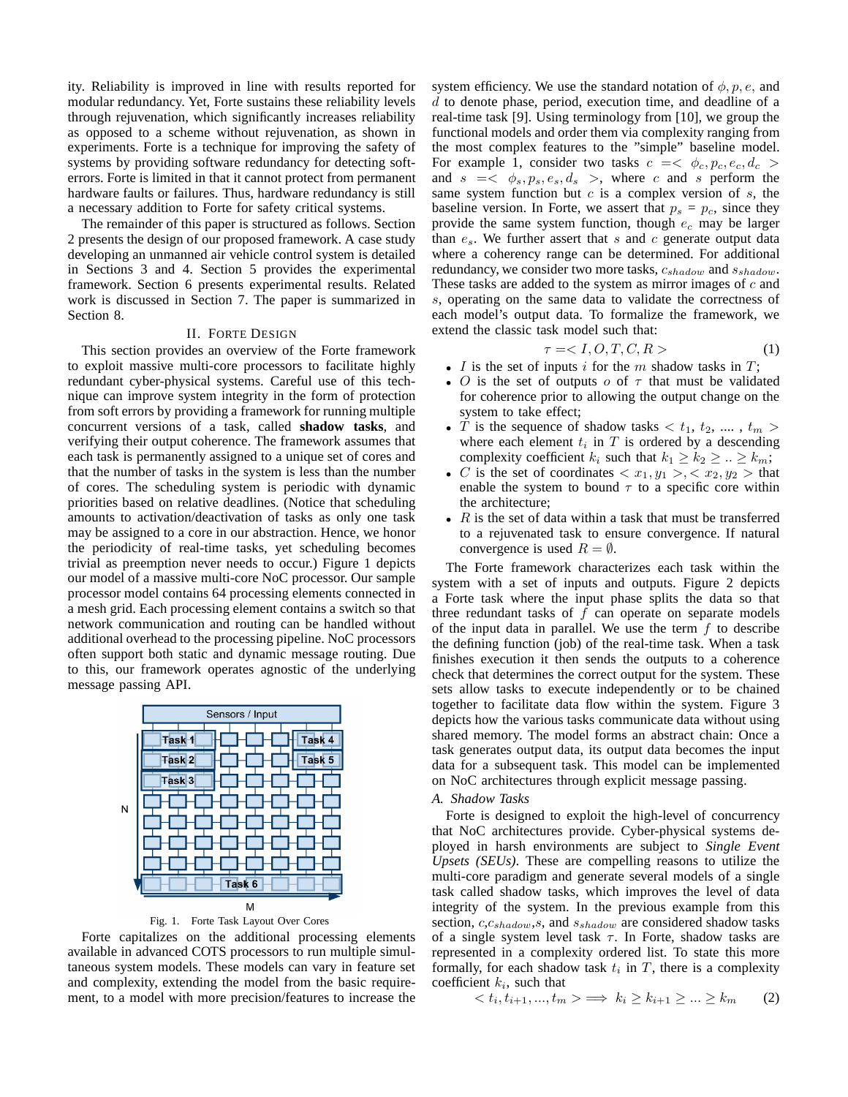ity. Reliability is improved in line with results reported for modular redundancy. Yet, Forte sustains these reliability levels through rejuvenation, which significantly increases reliability as opposed to a scheme without rejuvenation, as shown in experiments. Forte is a technique for improving the safety of systems by providing software redundancy for detecting softerrors. Forte is limited in that it cannot protect from permanent hardware faults or failures. Thus, hardware redundancy is still a necessary addition to Forte for safety critical systems.

The remainder of this paper is structured as follows. Section 2 presents the design of our proposed framework. A case study developing an unmanned air vehicle control system is detailed in Sections 3 and 4. Section 5 provides the experimental framework. Section 6 presents experimental results. Related work is discussed in Section 7. The paper is summarized in Section 8.

## II. FORTE DESIGN

This section provides an overview of the Forte framework to exploit massive multi-core processors to facilitate highly redundant cyber-physical systems. Careful use of this technique can improve system integrity in the form of protection from soft errors by providing a framework for running multiple concurrent versions of a task, called **shadow tasks**, and verifying their output coherence. The framework assumes that each task is permanently assigned to a unique set of cores and that the number of tasks in the system is less than the number of cores. The scheduling system is periodic with dynamic priorities based on relative deadlines. (Notice that scheduling amounts to activation/deactivation of tasks as only one task may be assigned to a core in our abstraction. Hence, we honor the periodicity of real-time tasks, yet scheduling becomes trivial as preemption never needs to occur.) Figure 1 depicts our model of a massive multi-core NoC processor. Our sample processor model contains 64 processing elements connected in a mesh grid. Each processing element contains a switch so that network communication and routing can be handled without additional overhead to the processing pipeline. NoC processors often support both static and dynamic message routing. Due to this, our framework operates agnostic of the underlying message passing API.



Fig. 1. Forte Task Layout Over Cores

Forte capitalizes on the additional processing elements available in advanced COTS processors to run multiple simultaneous system models. These models can vary in feature set and complexity, extending the model from the basic requirement, to a model with more precision/features to increase the

system efficiency. We use the standard notation of  $\phi$ , p, e, and  $d$  to denote phase, period, execution time, and deadline of a real-time task [9]. Using terminology from [10], we group the functional models and order them via complexity ranging from the most complex features to the "simple" baseline model. For example 1, consider two tasks  $c = \langle \phi_c, p_c, e_c, d_c \rangle$ and  $s = \langle \phi_s, p_s, e_s, d_s \rangle$ , where c and s perform the same system function but  $c$  is a complex version of  $s$ , the baseline version. In Forte, we assert that  $p_s = p_c$ , since they provide the same system function, though  $e_c$  may be larger than  $e_s$ . We further assert that s and c generate output data where a coherency range can be determined. For additional redundancy, we consider two more tasks,  $c_{shadow}$  and  $s_{shadow}$ . These tasks are added to the system as mirror images of c and s, operating on the same data to validate the correctness of each model's output data. To formalize the framework, we extend the classic task model such that:

$$
\tau = \tag{1}
$$

- I is the set of inputs i for the  $m$  shadow tasks in  $T$ ;
- O is the set of outputs  $o$  of  $\tau$  that must be validated for coherence prior to allowing the output change on the system to take effect;
- T is the sequence of shadow tasks  $\langle t_1, t_2, \ldots, t_m \rangle$ where each element  $t_i$  in  $T$  is ordered by a descending complexity coefficient  $k_i$  such that  $k_1 \geq k_2 \geq \ldots \geq k_m$ ;
- C is the set of coordinates  $\langle x_1, y_1 \rangle, \langle x_2, y_2 \rangle$  that enable the system to bound  $\tau$  to a specific core within the architecture;
- $R$  is the set of data within a task that must be transferred to a rejuvenated task to ensure convergence. If natural convergence is used  $R = \emptyset$ .

The Forte framework characterizes each task within the system with a set of inputs and outputs. Figure 2 depicts a Forte task where the input phase splits the data so that three redundant tasks of f can operate on separate models of the input data in parallel. We use the term  $f$  to describe the defining function (job) of the real-time task. When a task finishes execution it then sends the outputs to a coherence check that determines the correct output for the system. These sets allow tasks to execute independently or to be chained together to facilitate data flow within the system. Figure 3 depicts how the various tasks communicate data without using shared memory. The model forms an abstract chain: Once a task generates output data, its output data becomes the input data for a subsequent task. This model can be implemented on NoC architectures through explicit message passing.

## *A. Shadow Tasks*

Forte is designed to exploit the high-level of concurrency that NoC architectures provide. Cyber-physical systems deployed in harsh environments are subject to *Single Event Upsets (SEUs)*. These are compelling reasons to utilize the multi-core paradigm and generate several models of a single task called shadow tasks, which improves the level of data integrity of the system. In the previous example from this section,  $c, c_{shadow}, s$ , and  $s_{shadow}$  are considered shadow tasks of a single system level task  $\tau$ . In Forte, shadow tasks are represented in a complexity ordered list. To state this more formally, for each shadow task  $t_i$  in  $T$ , there is a complexity coefficient  $k_i$ , such that

$$
\langle t_i, t_{i+1}, \dots, t_m \rangle \Longrightarrow k_i \ge k_{i+1} \ge \dots \ge k_m \qquad (2)
$$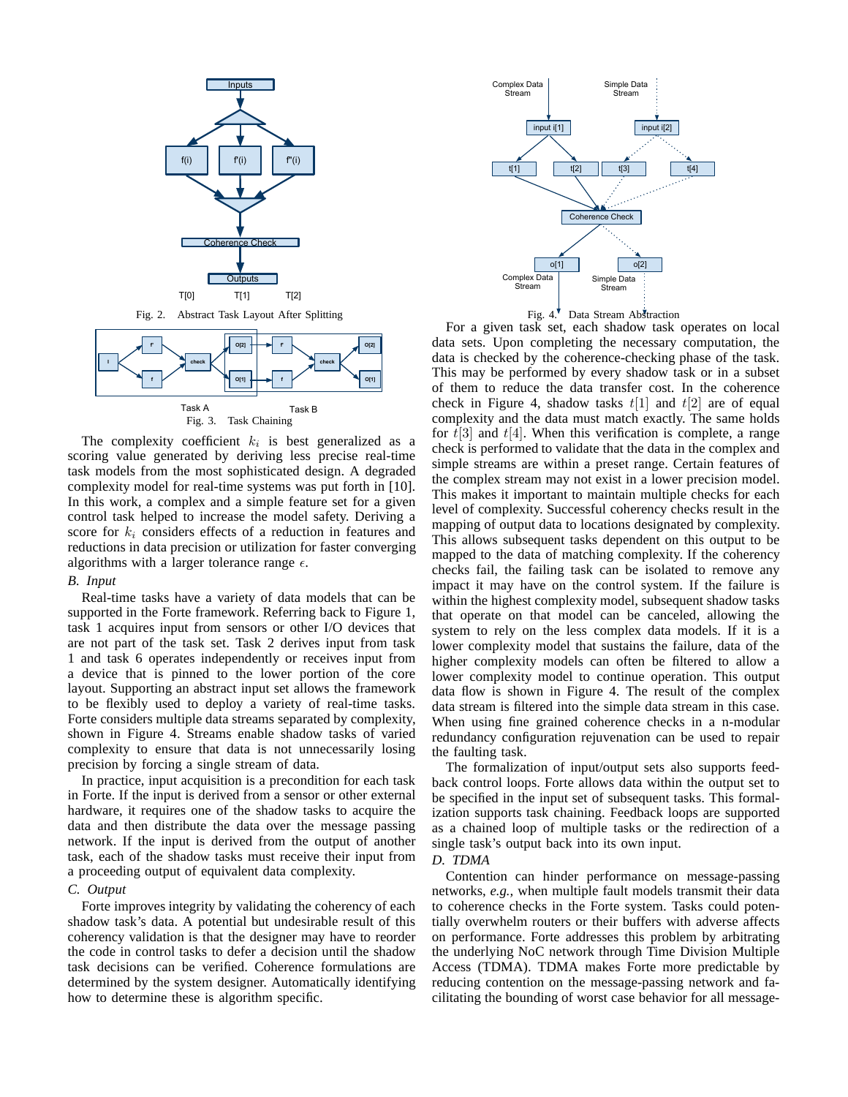

Fig. 2. Abstract Task Layout After Splitting



The complexity coefficient  $k_i$  is best generalized as a scoring value generated by deriving less precise real-time task models from the most sophisticated design. A degraded complexity model for real-time systems was put forth in [10]. In this work, a complex and a simple feature set for a given control task helped to increase the model safety. Deriving a score for  $k_i$  considers effects of a reduction in features and reductions in data precision or utilization for faster converging algorithms with a larger tolerance range  $\epsilon$ .

#### *B. Input*

Real-time tasks have a variety of data models that can be supported in the Forte framework. Referring back to Figure 1, task 1 acquires input from sensors or other I/O devices that are not part of the task set. Task 2 derives input from task 1 and task 6 operates independently or receives input from a device that is pinned to the lower portion of the core layout. Supporting an abstract input set allows the framework to be flexibly used to deploy a variety of real-time tasks. Forte considers multiple data streams separated by complexity, shown in Figure 4. Streams enable shadow tasks of varied complexity to ensure that data is not unnecessarily losing precision by forcing a single stream of data.

In practice, input acquisition is a precondition for each task in Forte. If the input is derived from a sensor or other external hardware, it requires one of the shadow tasks to acquire the data and then distribute the data over the message passing network. If the input is derived from the output of another task, each of the shadow tasks must receive their input from a proceeding output of equivalent data complexity.

#### *C. Output*

Forte improves integrity by validating the coherency of each shadow task's data. A potential but undesirable result of this coherency validation is that the designer may have to reorder the code in control tasks to defer a decision until the shadow task decisions can be verified. Coherence formulations are determined by the system designer. Automatically identifying how to determine these is algorithm specific.





For a given task set, each shadow task operates on local data sets. Upon completing the necessary computation, the data is checked by the coherence-checking phase of the task. This may be performed by every shadow task or in a subset of them to reduce the data transfer cost. In the coherence check in Figure 4, shadow tasks  $t[1]$  and  $t[2]$  are of equal complexity and the data must match exactly. The same holds for  $t[3]$  and  $t[4]$ . When this verification is complete, a range check is performed to validate that the data in the complex and simple streams are within a preset range. Certain features of the complex stream may not exist in a lower precision model. This makes it important to maintain multiple checks for each level of complexity. Successful coherency checks result in the mapping of output data to locations designated by complexity. This allows subsequent tasks dependent on this output to be mapped to the data of matching complexity. If the coherency checks fail, the failing task can be isolated to remove any impact it may have on the control system. If the failure is within the highest complexity model, subsequent shadow tasks that operate on that model can be canceled, allowing the system to rely on the less complex data models. If it is a lower complexity model that sustains the failure, data of the higher complexity models can often be filtered to allow a lower complexity model to continue operation. This output data flow is shown in Figure 4. The result of the complex data stream is filtered into the simple data stream in this case. When using fine grained coherence checks in a n-modular redundancy configuration rejuvenation can be used to repair the faulting task.

The formalization of input/output sets also supports feedback control loops. Forte allows data within the output set to be specified in the input set of subsequent tasks. This formalization supports task chaining. Feedback loops are supported as a chained loop of multiple tasks or the redirection of a single task's output back into its own input.

## *D. TDMA*

Contention can hinder performance on message-passing networks, *e.g.,* when multiple fault models transmit their data to coherence checks in the Forte system. Tasks could potentially overwhelm routers or their buffers with adverse affects on performance. Forte addresses this problem by arbitrating the underlying NoC network through Time Division Multiple Access (TDMA). TDMA makes Forte more predictable by reducing contention on the message-passing network and facilitating the bounding of worst case behavior for all message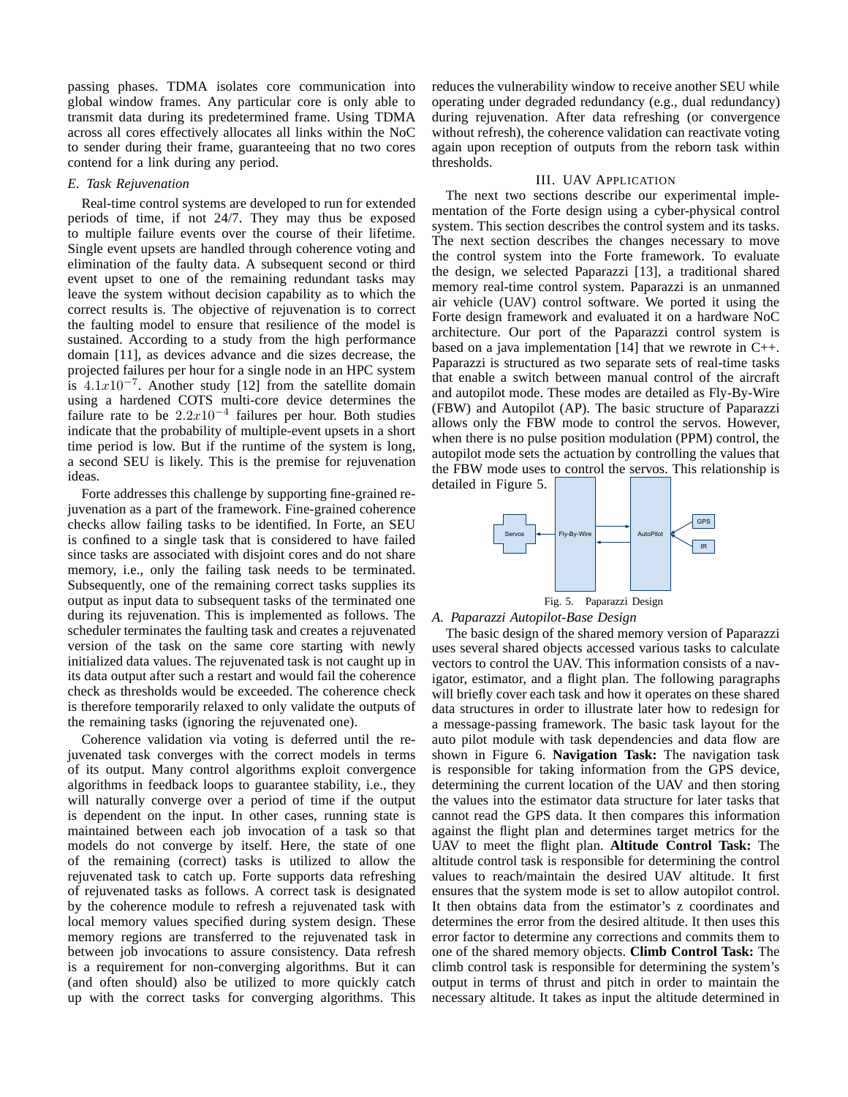passing phases. TDMA isolates core communication into global window frames. Any particular core is only able to transmit data during its predetermined frame. Using TDMA across all cores effectively allocates all links within the NoC to sender during their frame, guaranteeing that no two cores contend for a link during any period.

#### *E. Task Rejuvenation*

Real-time control systems are developed to run for extended periods of time, if not 24/7. They may thus be exposed to multiple failure events over the course of their lifetime. Single event upsets are handled through coherence voting and elimination of the faulty data. A subsequent second or third event upset to one of the remaining redundant tasks may leave the system without decision capability as to which the correct results is. The objective of rejuvenation is to correct the faulting model to ensure that resilience of the model is sustained. According to a study from the high performance domain [11], as devices advance and die sizes decrease, the projected failures per hour for a single node in an HPC system is  $4.1x10^{-7}$ . Another study [12] from the satellite domain using a hardened COTS multi-core device determines the failure rate to be  $2.2x10^{-4}$  failures per hour. Both studies indicate that the probability of multiple-event upsets in a short time period is low. But if the runtime of the system is long, a second SEU is likely. This is the premise for rejuvenation ideas.

Forte addresses this challenge by supporting fine-grained rejuvenation as a part of the framework. Fine-grained coherence checks allow failing tasks to be identified. In Forte, an SEU is confined to a single task that is considered to have failed since tasks are associated with disjoint cores and do not share memory, i.e., only the failing task needs to be terminated. Subsequently, one of the remaining correct tasks supplies its output as input data to subsequent tasks of the terminated one during its rejuvenation. This is implemented as follows. The scheduler terminates the faulting task and creates a rejuvenated version of the task on the same core starting with newly initialized data values. The rejuvenated task is not caught up in its data output after such a restart and would fail the coherence check as thresholds would be exceeded. The coherence check is therefore temporarily relaxed to only validate the outputs of the remaining tasks (ignoring the rejuvenated one).

Coherence validation via voting is deferred until the rejuvenated task converges with the correct models in terms of its output. Many control algorithms exploit convergence algorithms in feedback loops to guarantee stability, i.e., they will naturally converge over a period of time if the output is dependent on the input. In other cases, running state is maintained between each job invocation of a task so that models do not converge by itself. Here, the state of one of the remaining (correct) tasks is utilized to allow the rejuvenated task to catch up. Forte supports data refreshing of rejuvenated tasks as follows. A correct task is designated by the coherence module to refresh a rejuvenated task with local memory values specified during system design. These memory regions are transferred to the rejuvenated task in between job invocations to assure consistency. Data refresh is a requirement for non-converging algorithms. But it can (and often should) also be utilized to more quickly catch up with the correct tasks for converging algorithms. This

reduces the vulnerability window to receive another SEU while operating under degraded redundancy (e.g., dual redundancy) during rejuvenation. After data refreshing (or convergence without refresh), the coherence validation can reactivate voting again upon reception of outputs from the reborn task within thresholds.

# III. UAV APPLICATION

The next two sections describe our experimental implementation of the Forte design using a cyber-physical control system. This section describes the control system and its tasks. The next section describes the changes necessary to move the control system into the Forte framework. To evaluate the design, we selected Paparazzi [13], a traditional shared memory real-time control system. Paparazzi is an unmanned air vehicle (UAV) control software. We ported it using the Forte design framework and evaluated it on a hardware NoC architecture. Our port of the Paparazzi control system is based on a java implementation [14] that we rewrote in C++. Paparazzi is structured as two separate sets of real-time tasks that enable a switch between manual control of the aircraft and autopilot mode. These modes are detailed as Fly-By-Wire (FBW) and Autopilot (AP). The basic structure of Paparazzi allows only the FBW mode to control the servos. However, when there is no pulse position modulation (PPM) control, the autopilot mode sets the actuation by controlling the values that the FBW mode uses to control the servos. This relationship is detailed in Figure 5.



*A. Paparazzi Autopilot-Base Design*

The basic design of the shared memory version of Paparazzi uses several shared objects accessed various tasks to calculate vectors to control the UAV. This information consists of a navigator, estimator, and a flight plan. The following paragraphs will briefly cover each task and how it operates on these shared data structures in order to illustrate later how to redesign for a message-passing framework. The basic task layout for the auto pilot module with task dependencies and data flow are shown in Figure 6. **Navigation Task:** The navigation task is responsible for taking information from the GPS device, determining the current location of the UAV and then storing the values into the estimator data structure for later tasks that cannot read the GPS data. It then compares this information against the flight plan and determines target metrics for the UAV to meet the flight plan. **Altitude Control Task:** The altitude control task is responsible for determining the control values to reach/maintain the desired UAV altitude. It first ensures that the system mode is set to allow autopilot control. It then obtains data from the estimator's z coordinates and determines the error from the desired altitude. It then uses this error factor to determine any corrections and commits them to one of the shared memory objects. **Climb Control Task:** The climb control task is responsible for determining the system's output in terms of thrust and pitch in order to maintain the necessary altitude. It takes as input the altitude determined in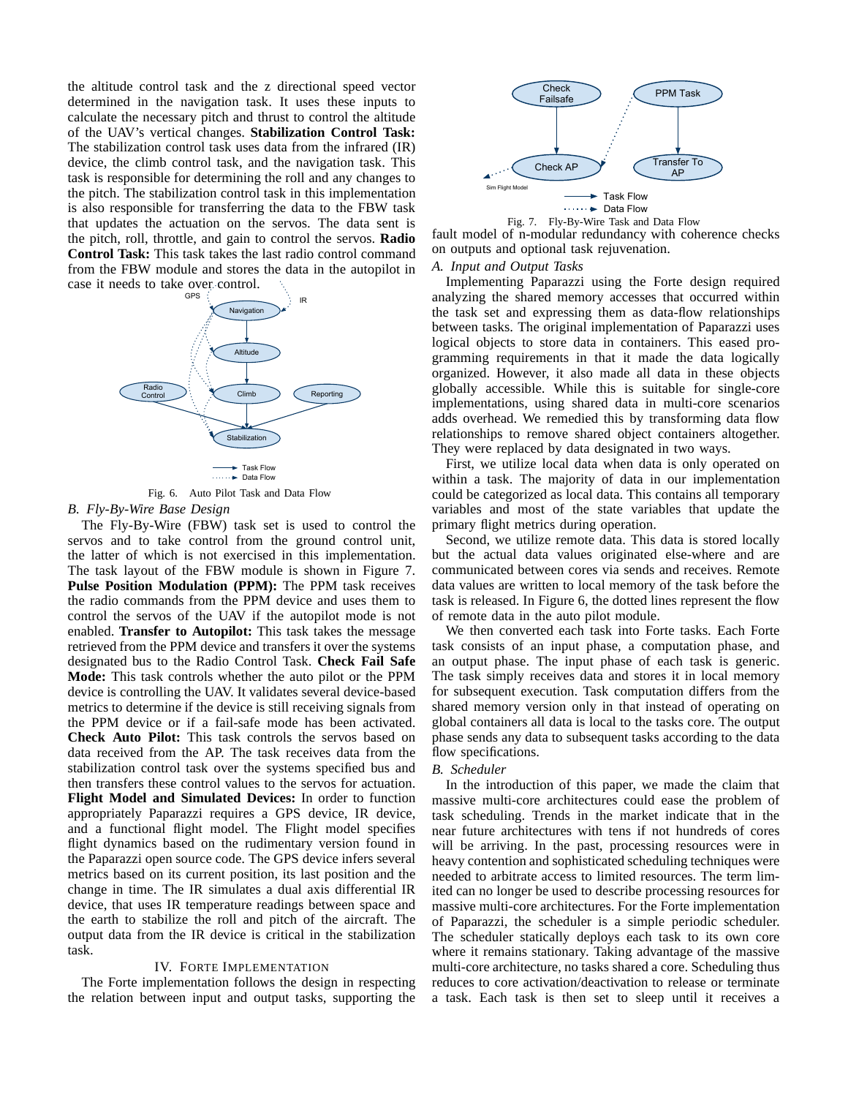the altitude control task and the z directional speed vector determined in the navigation task. It uses these inputs to calculate the necessary pitch and thrust to control the altitude of the UAV's vertical changes. **Stabilization Control Task:** The stabilization control task uses data from the infrared (IR) device, the climb control task, and the navigation task. This task is responsible for determining the roll and any changes to the pitch. The stabilization control task in this implementation is also responsible for transferring the data to the FBW task that updates the actuation on the servos. The data sent is the pitch, roll, throttle, and gain to control the servos. **Radio Control Task:** This task takes the last radio control command from the FBW module and stores the data in the autopilot in case it needs to take over control.





## *B. Fly-By-Wire Base Design*

The Fly-By-Wire (FBW) task set is used to control the servos and to take control from the ground control unit, the latter of which is not exercised in this implementation. The task layout of the FBW module is shown in Figure 7. **Pulse Position Modulation (PPM):** The PPM task receives the radio commands from the PPM device and uses them to control the servos of the UAV if the autopilot mode is not enabled. **Transfer to Autopilot:** This task takes the message retrieved from the PPM device and transfers it over the systems designated bus to the Radio Control Task. **Check Fail Safe Mode:** This task controls whether the auto pilot or the PPM device is controlling the UAV. It validates several device-based metrics to determine if the device is still receiving signals from the PPM device or if a fail-safe mode has been activated. **Check Auto Pilot:** This task controls the servos based on data received from the AP. The task receives data from the stabilization control task over the systems specified bus and then transfers these control values to the servos for actuation. **Flight Model and Simulated Devices:** In order to function appropriately Paparazzi requires a GPS device, IR device, and a functional flight model. The Flight model specifies flight dynamics based on the rudimentary version found in the Paparazzi open source code. The GPS device infers several metrics based on its current position, its last position and the change in time. The IR simulates a dual axis differential IR device, that uses IR temperature readings between space and the earth to stabilize the roll and pitch of the aircraft. The output data from the IR device is critical in the stabilization task.

## IV. FORTE IMPLEMENTATION

The Forte implementation follows the design in respecting the relation between input and output tasks, supporting the



fault model of n-modular redundancy with coherence checks on outputs and optional task rejuvenation.

## *A. Input and Output Tasks*

Implementing Paparazzi using the Forte design required analyzing the shared memory accesses that occurred within the task set and expressing them as data-flow relationships between tasks. The original implementation of Paparazzi uses logical objects to store data in containers. This eased programming requirements in that it made the data logically organized. However, it also made all data in these objects globally accessible. While this is suitable for single-core implementations, using shared data in multi-core scenarios adds overhead. We remedied this by transforming data flow relationships to remove shared object containers altogether. They were replaced by data designated in two ways.

First, we utilize local data when data is only operated on within a task. The majority of data in our implementation could be categorized as local data. This contains all temporary variables and most of the state variables that update the primary flight metrics during operation.

Second, we utilize remote data. This data is stored locally but the actual data values originated else-where and are communicated between cores via sends and receives. Remote data values are written to local memory of the task before the task is released. In Figure 6, the dotted lines represent the flow of remote data in the auto pilot module.

We then converted each task into Forte tasks. Each Forte task consists of an input phase, a computation phase, and an output phase. The input phase of each task is generic. The task simply receives data and stores it in local memory for subsequent execution. Task computation differs from the shared memory version only in that instead of operating on global containers all data is local to the tasks core. The output phase sends any data to subsequent tasks according to the data flow specifications.

#### *B. Scheduler*

In the introduction of this paper, we made the claim that massive multi-core architectures could ease the problem of task scheduling. Trends in the market indicate that in the near future architectures with tens if not hundreds of cores will be arriving. In the past, processing resources were in heavy contention and sophisticated scheduling techniques were needed to arbitrate access to limited resources. The term limited can no longer be used to describe processing resources for massive multi-core architectures. For the Forte implementation of Paparazzi, the scheduler is a simple periodic scheduler. The scheduler statically deploys each task to its own core where it remains stationary. Taking advantage of the massive multi-core architecture, no tasks shared a core. Scheduling thus reduces to core activation/deactivation to release or terminate a task. Each task is then set to sleep until it receives a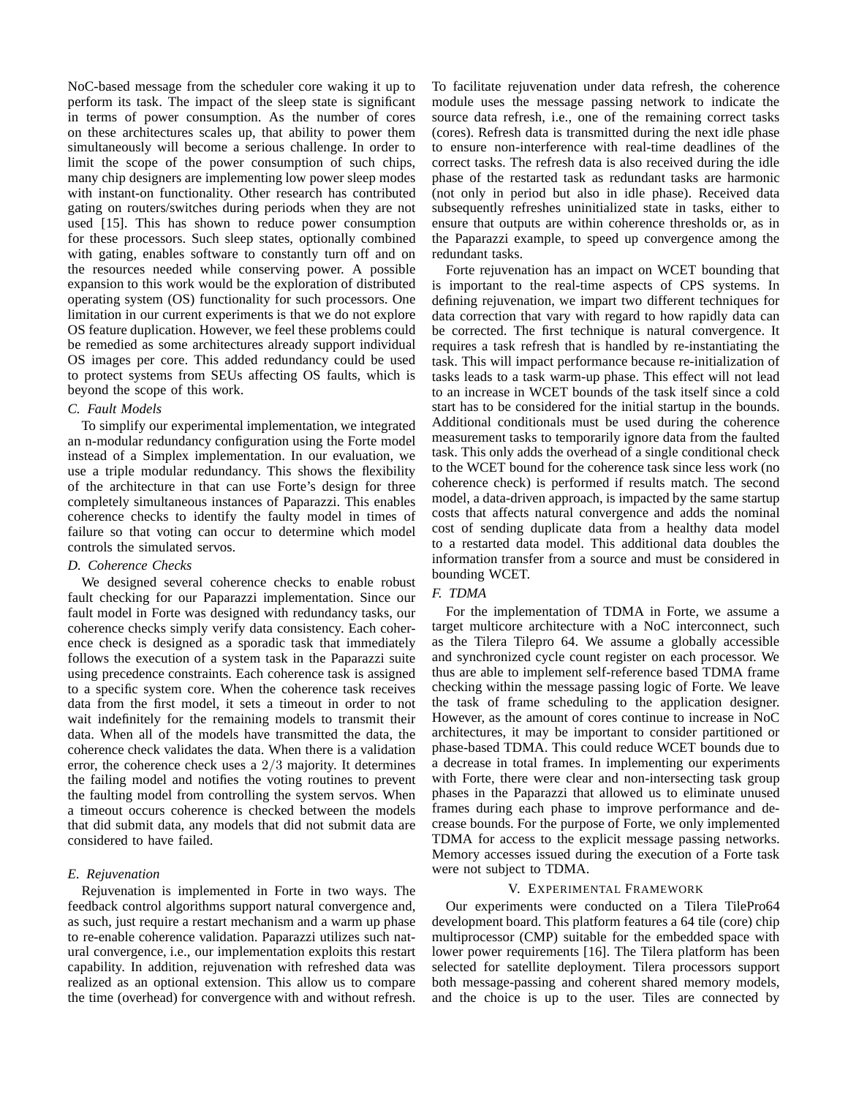NoC-based message from the scheduler core waking it up to perform its task. The impact of the sleep state is significant in terms of power consumption. As the number of cores on these architectures scales up, that ability to power them simultaneously will become a serious challenge. In order to limit the scope of the power consumption of such chips, many chip designers are implementing low power sleep modes with instant-on functionality. Other research has contributed gating on routers/switches during periods when they are not used [15]. This has shown to reduce power consumption for these processors. Such sleep states, optionally combined with gating, enables software to constantly turn off and on the resources needed while conserving power. A possible expansion to this work would be the exploration of distributed operating system (OS) functionality for such processors. One limitation in our current experiments is that we do not explore OS feature duplication. However, we feel these problems could be remedied as some architectures already support individual OS images per core. This added redundancy could be used to protect systems from SEUs affecting OS faults, which is beyond the scope of this work.

# *C. Fault Models*

To simplify our experimental implementation, we integrated an n-modular redundancy configuration using the Forte model instead of a Simplex implementation. In our evaluation, we use a triple modular redundancy. This shows the flexibility of the architecture in that can use Forte's design for three completely simultaneous instances of Paparazzi. This enables coherence checks to identify the faulty model in times of failure so that voting can occur to determine which model controls the simulated servos.

#### *D. Coherence Checks*

We designed several coherence checks to enable robust fault checking for our Paparazzi implementation. Since our fault model in Forte was designed with redundancy tasks, our coherence checks simply verify data consistency. Each coherence check is designed as a sporadic task that immediately follows the execution of a system task in the Paparazzi suite using precedence constraints. Each coherence task is assigned to a specific system core. When the coherence task receives data from the first model, it sets a timeout in order to not wait indefinitely for the remaining models to transmit their data. When all of the models have transmitted the data, the coherence check validates the data. When there is a validation error, the coherence check uses a 2/3 majority. It determines the failing model and notifies the voting routines to prevent the faulting model from controlling the system servos. When a timeout occurs coherence is checked between the models that did submit data, any models that did not submit data are considered to have failed.

## *E. Rejuvenation*

Rejuvenation is implemented in Forte in two ways. The feedback control algorithms support natural convergence and, as such, just require a restart mechanism and a warm up phase to re-enable coherence validation. Paparazzi utilizes such natural convergence, i.e., our implementation exploits this restart capability. In addition, rejuvenation with refreshed data was realized as an optional extension. This allow us to compare the time (overhead) for convergence with and without refresh.

To facilitate rejuvenation under data refresh, the coherence module uses the message passing network to indicate the source data refresh, i.e., one of the remaining correct tasks (cores). Refresh data is transmitted during the next idle phase to ensure non-interference with real-time deadlines of the correct tasks. The refresh data is also received during the idle phase of the restarted task as redundant tasks are harmonic (not only in period but also in idle phase). Received data subsequently refreshes uninitialized state in tasks, either to ensure that outputs are within coherence thresholds or, as in the Paparazzi example, to speed up convergence among the redundant tasks.

Forte rejuvenation has an impact on WCET bounding that is important to the real-time aspects of CPS systems. In defining rejuvenation, we impart two different techniques for data correction that vary with regard to how rapidly data can be corrected. The first technique is natural convergence. It requires a task refresh that is handled by re-instantiating the task. This will impact performance because re-initialization of tasks leads to a task warm-up phase. This effect will not lead to an increase in WCET bounds of the task itself since a cold start has to be considered for the initial startup in the bounds. Additional conditionals must be used during the coherence measurement tasks to temporarily ignore data from the faulted task. This only adds the overhead of a single conditional check to the WCET bound for the coherence task since less work (no coherence check) is performed if results match. The second model, a data-driven approach, is impacted by the same startup costs that affects natural convergence and adds the nominal cost of sending duplicate data from a healthy data model to a restarted data model. This additional data doubles the information transfer from a source and must be considered in bounding WCET.

# *F. TDMA*

For the implementation of TDMA in Forte, we assume a target multicore architecture with a NoC interconnect, such as the Tilera Tilepro 64. We assume a globally accessible and synchronized cycle count register on each processor. We thus are able to implement self-reference based TDMA frame checking within the message passing logic of Forte. We leave the task of frame scheduling to the application designer. However, as the amount of cores continue to increase in NoC architectures, it may be important to consider partitioned or phase-based TDMA. This could reduce WCET bounds due to a decrease in total frames. In implementing our experiments with Forte, there were clear and non-intersecting task group phases in the Paparazzi that allowed us to eliminate unused frames during each phase to improve performance and decrease bounds. For the purpose of Forte, we only implemented TDMA for access to the explicit message passing networks. Memory accesses issued during the execution of a Forte task were not subject to TDMA.

## V. EXPERIMENTAL FRAMEWORK

Our experiments were conducted on a Tilera TilePro64 development board. This platform features a 64 tile (core) chip multiprocessor (CMP) suitable for the embedded space with lower power requirements [16]. The Tilera platform has been selected for satellite deployment. Tilera processors support both message-passing and coherent shared memory models, and the choice is up to the user. Tiles are connected by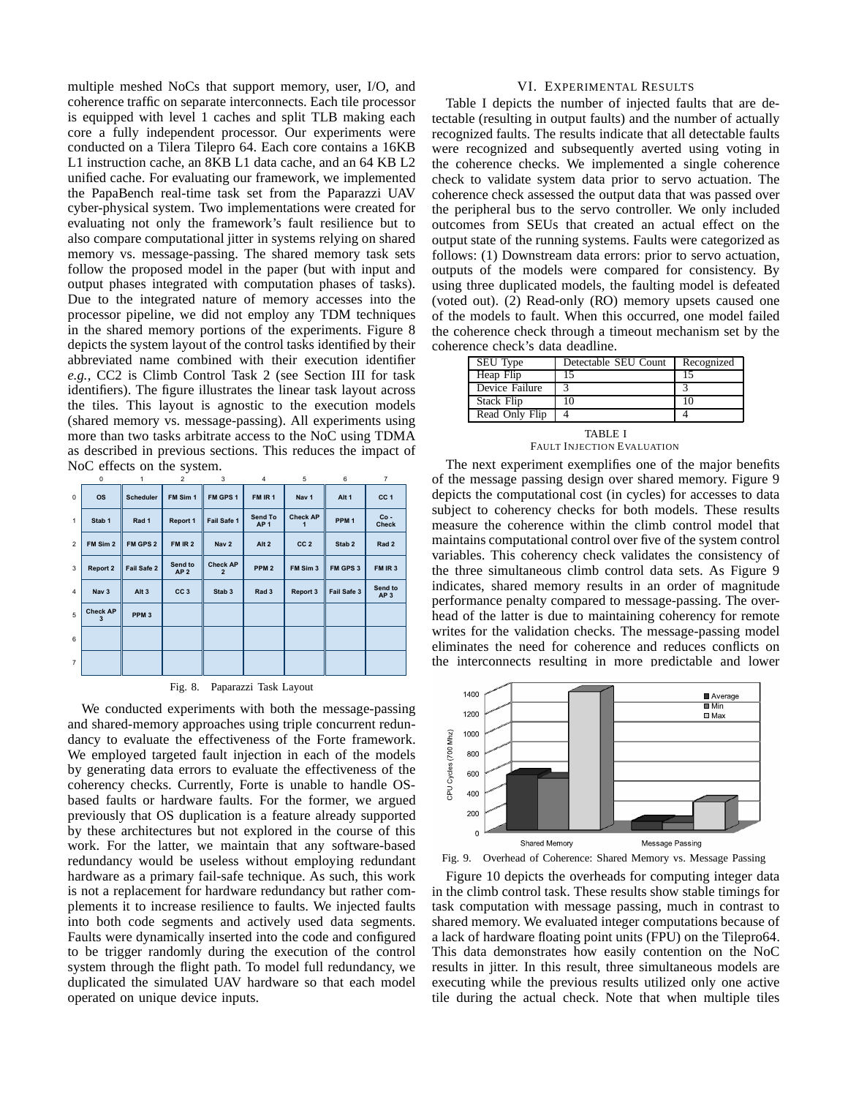multiple meshed NoCs that support memory, user, I/O, and coherence traffic on separate interconnects. Each tile processor is equipped with level 1 caches and split TLB making each core a fully independent processor. Our experiments were conducted on a Tilera Tilepro 64. Each core contains a 16KB L1 instruction cache, an 8KB L1 data cache, and an 64 KB L2 unified cache. For evaluating our framework, we implemented the PapaBench real-time task set from the Paparazzi UAV cyber-physical system. Two implementations were created for evaluating not only the framework's fault resilience but to also compare computational jitter in systems relying on shared memory vs. message-passing. The shared memory task sets follow the proposed model in the paper (but with input and output phases integrated with computation phases of tasks). Due to the integrated nature of memory accesses into the processor pipeline, we did not employ any TDM techniques in the shared memory portions of the experiments. Figure 8 depicts the system layout of the control tasks identified by their abbreviated name combined with their execution identifier *e.g.*, CC2 is Climb Control Task 2 (see Section III for task identifiers). The figure illustrates the linear task layout across the tiles. This layout is agnostic to the execution models (shared memory vs. message-passing). All experiments using more than two tasks arbitrate access to the NoC using TDMA as described in previous sections. This reduces the impact of NoC effects on the system.

|                | 0                    | 1                | 2                          | 3                                 | 4                          | 5                | 6                 | 7                          |
|----------------|----------------------|------------------|----------------------------|-----------------------------------|----------------------------|------------------|-------------------|----------------------------|
| $\mathbf 0$    | <b>OS</b>            | <b>Scheduler</b> | FM Sim 1                   | FM GPS 1                          | FM IR <sub>1</sub>         | Nav <sub>1</sub> | Alt <sub>1</sub>  | CC <sub>1</sub>            |
| 1              | Stab <sub>1</sub>    | Rad 1            | Report 1                   | Fail Safe 1                       | Send To<br>AP <sub>1</sub> | <b>Check AP</b>  | PPM <sub>1</sub>  | $Co -$<br><b>Check</b>     |
| $\overline{2}$ | FM Sim 2             | FM GPS 2         | FM IR 2                    | Nav <sub>2</sub>                  | Alt <sub>2</sub>           | CC <sub>2</sub>  | Stab <sub>2</sub> | Rad 2                      |
| 3              | <b>Report 2</b>      | Fail Safe 2      | Send to<br>AP <sub>2</sub> | <b>Check AP</b><br>$\overline{2}$ | PPM <sub>2</sub>           | FM Sim 3         | FM GPS 3          | FM IR <sub>3</sub>         |
| $\overline{4}$ | Nav <sub>3</sub>     | Alt <sub>3</sub> | CC <sub>3</sub>            | Stab <sub>3</sub>                 | Rad <sub>3</sub>           | Report 3         | Fail Safe 3       | Send to<br>AP <sub>3</sub> |
| 5              | <b>Check AP</b><br>3 | PPM <sub>3</sub> |                            |                                   |                            |                  |                   |                            |
| 6              |                      |                  |                            |                                   |                            |                  |                   |                            |
| $\overline{7}$ |                      |                  |                            |                                   |                            |                  |                   |                            |

| Fig. 8. | Paparazzi Task Layout |  |
|---------|-----------------------|--|
|         |                       |  |

We conducted experiments with both the message-passing and shared-memory approaches using triple concurrent redundancy to evaluate the effectiveness of the Forte framework. We employed targeted fault injection in each of the models by generating data errors to evaluate the effectiveness of the coherency checks. Currently, Forte is unable to handle OSbased faults or hardware faults. For the former, we argued previously that OS duplication is a feature already supported by these architectures but not explored in the course of this work. For the latter, we maintain that any software-based redundancy would be useless without employing redundant hardware as a primary fail-safe technique. As such, this work is not a replacement for hardware redundancy but rather complements it to increase resilience to faults. We injected faults into both code segments and actively used data segments. Faults were dynamically inserted into the code and configured to be trigger randomly during the execution of the control system through the flight path. To model full redundancy, we duplicated the simulated UAV hardware so that each model operated on unique device inputs.

#### VI. EXPERIMENTAL RESULTS

Table I depicts the number of injected faults that are detectable (resulting in output faults) and the number of actually recognized faults. The results indicate that all detectable faults were recognized and subsequently averted using voting in the coherence checks. We implemented a single coherence check to validate system data prior to servo actuation. The coherence check assessed the output data that was passed over the peripheral bus to the servo controller. We only included outcomes from SEUs that created an actual effect on the output state of the running systems. Faults were categorized as follows: (1) Downstream data errors: prior to servo actuation, outputs of the models were compared for consistency. By using three duplicated models, the faulting model is defeated (voted out). (2) Read-only (RO) memory upsets caused one of the models to fault. When this occurred, one model failed the coherence check through a timeout mechanism set by the coherence check's data deadline.

| SEU Type       | Detectable SEU Count | Recognized |
|----------------|----------------------|------------|
| Heap Flip      |                      | 15         |
| Device Failure | 2                    |            |
| Stack Flip     | 10                   | 10         |
| Read Only Flip |                      |            |

TABLE I FAULT INJECTION EVALUATION

The next experiment exemplifies one of the major benefits of the message passing design over shared memory. Figure 9 depicts the computational cost (in cycles) for accesses to data subject to coherency checks for both models. These results measure the coherence within the climb control model that maintains computational control over five of the system control variables. This coherency check validates the consistency of the three simultaneous climb control data sets. As Figure 9 indicates, shared memory results in an order of magnitude performance penalty compared to message-passing. The overhead of the latter is due to maintaining coherency for remote writes for the validation checks. The message-passing model eliminates the need for coherence and reduces conflicts on the interconnects resulting in more predictable and lower





Figure 10 depicts the overheads for computing integer data in the climb control task. These results show stable timings for task computation with message passing, much in contrast to shared memory. We evaluated integer computations because of a lack of hardware floating point units (FPU) on the Tilepro64. This data demonstrates how easily contention on the NoC results in jitter. In this result, three simultaneous models are executing while the previous results utilized only one active tile during the actual check. Note that when multiple tiles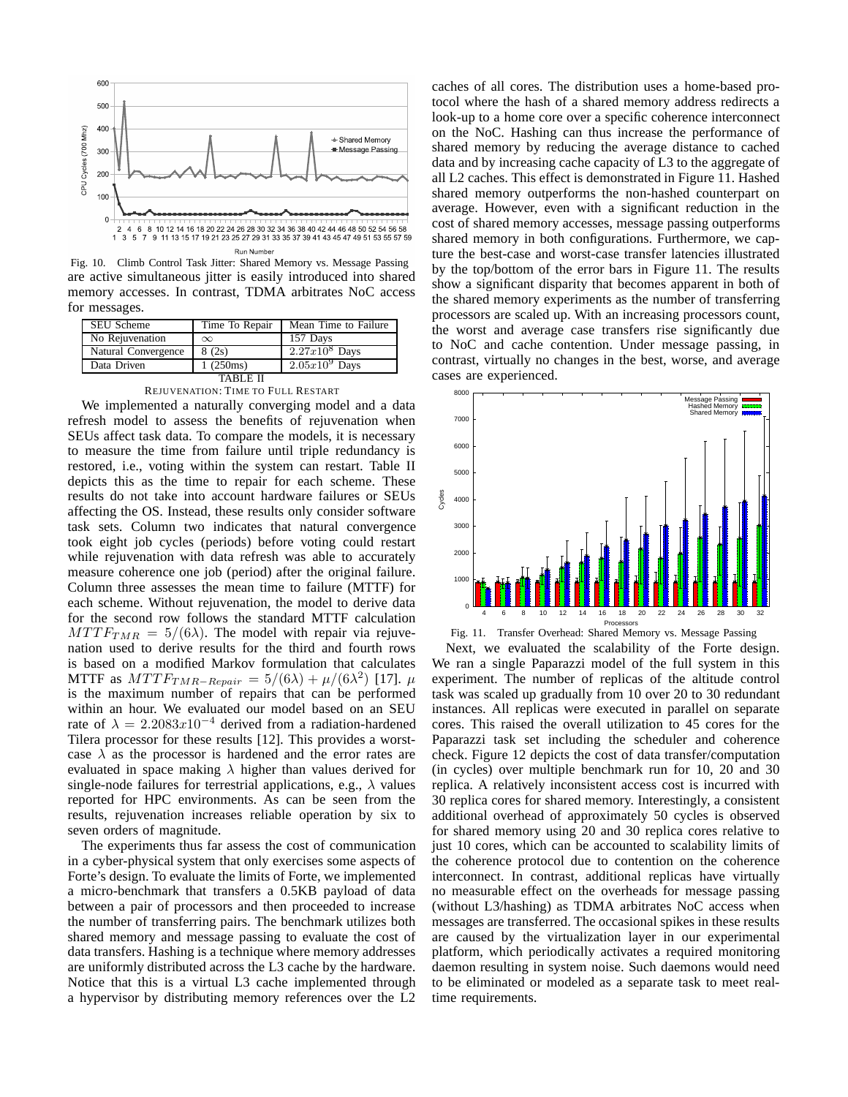

Fig. 10. Climb Control Task Jitter: Shared Memory vs. Message Passing are active simultaneous jitter is easily introduced into shared memory accesses. In contrast, TDMA arbitrates NoC access for messages.

| SEU Scheme          | Time To Repair | Mean Time to Failure |  |  |
|---------------------|----------------|----------------------|--|--|
| No Rejuvenation     | $\infty$       | 157 Days             |  |  |
| Natural Convergence | 8(2s)          | $2.27x10^8$ Days     |  |  |
| Data Driven         | 1(250ms)       | $2.05x109$ Days      |  |  |
| TABLE II            |                |                      |  |  |

| <b>REJUVENATION: TIME TO FULL RESTART</b> |  |
|-------------------------------------------|--|
|-------------------------------------------|--|

We implemented a naturally converging model and a data refresh model to assess the benefits of rejuvenation when SEUs affect task data. To compare the models, it is necessary to measure the time from failure until triple redundancy is restored, i.e., voting within the system can restart. Table II depicts this as the time to repair for each scheme. These results do not take into account hardware failures or SEUs affecting the OS. Instead, these results only consider software task sets. Column two indicates that natural convergence took eight job cycles (periods) before voting could restart while rejuvenation with data refresh was able to accurately measure coherence one job (period) after the original failure. Column three assesses the mean time to failure (MTTF) for each scheme. Without rejuvenation, the model to derive data for the second row follows the standard MTTF calculation  $MTTF_{TMR} = 5/(6\lambda)$ . The model with repair via rejuvenation used to derive results for the third and fourth rows is based on a modified Markov formulation that calculates MTTF as  $MTTF_{TMR-Repair} = 5/(6\lambda) + \mu/(6\lambda^2)$  [17].  $\mu$ is the maximum number of repairs that can be performed within an hour. We evaluated our model based on an SEU rate of  $\lambda = 2.2083x10^{-4}$  derived from a radiation-hardened Tilera processor for these results [12]. This provides a worstcase  $\lambda$  as the processor is hardened and the error rates are evaluated in space making  $\lambda$  higher than values derived for single-node failures for terrestrial applications, e.g.,  $\lambda$  values reported for HPC environments. As can be seen from the results, rejuvenation increases reliable operation by six to seven orders of magnitude.

The experiments thus far assess the cost of communication in a cyber-physical system that only exercises some aspects of Forte's design. To evaluate the limits of Forte, we implemented a micro-benchmark that transfers a 0.5KB payload of data between a pair of processors and then proceeded to increase the number of transferring pairs. The benchmark utilizes both shared memory and message passing to evaluate the cost of data transfers. Hashing is a technique where memory addresses are uniformly distributed across the L3 cache by the hardware. Notice that this is a virtual L3 cache implemented through a hypervisor by distributing memory references over the L2

caches of all cores. The distribution uses a home-based protocol where the hash of a shared memory address redirects a look-up to a home core over a specific coherence interconnect on the NoC. Hashing can thus increase the performance of shared memory by reducing the average distance to cached data and by increasing cache capacity of L3 to the aggregate of all L2 caches. This effect is demonstrated in Figure 11. Hashed shared memory outperforms the non-hashed counterpart on average. However, even with a significant reduction in the cost of shared memory accesses, message passing outperforms shared memory in both configurations. Furthermore, we capture the best-case and worst-case transfer latencies illustrated by the top/bottom of the error bars in Figure 11. The results show a significant disparity that becomes apparent in both of the shared memory experiments as the number of transferring processors are scaled up. With an increasing processors count, the worst and average case transfers rise significantly due to NoC and cache contention. Under message passing, in contrast, virtually no changes in the best, worse, and average cases are experienced.



Next, we evaluated the scalability of the Forte design. We ran a single Paparazzi model of the full system in this experiment. The number of replicas of the altitude control task was scaled up gradually from 10 over 20 to 30 redundant instances. All replicas were executed in parallel on separate cores. This raised the overall utilization to 45 cores for the Paparazzi task set including the scheduler and coherence check. Figure 12 depicts the cost of data transfer/computation (in cycles) over multiple benchmark run for 10, 20 and 30 replica. A relatively inconsistent access cost is incurred with 30 replica cores for shared memory. Interestingly, a consistent additional overhead of approximately 50 cycles is observed for shared memory using 20 and 30 replica cores relative to just 10 cores, which can be accounted to scalability limits of the coherence protocol due to contention on the coherence interconnect. In contrast, additional replicas have virtually no measurable effect on the overheads for message passing (without L3/hashing) as TDMA arbitrates NoC access when messages are transferred. The occasional spikes in these results are caused by the virtualization layer in our experimental platform, which periodically activates a required monitoring daemon resulting in system noise. Such daemons would need to be eliminated or modeled as a separate task to meet realtime requirements.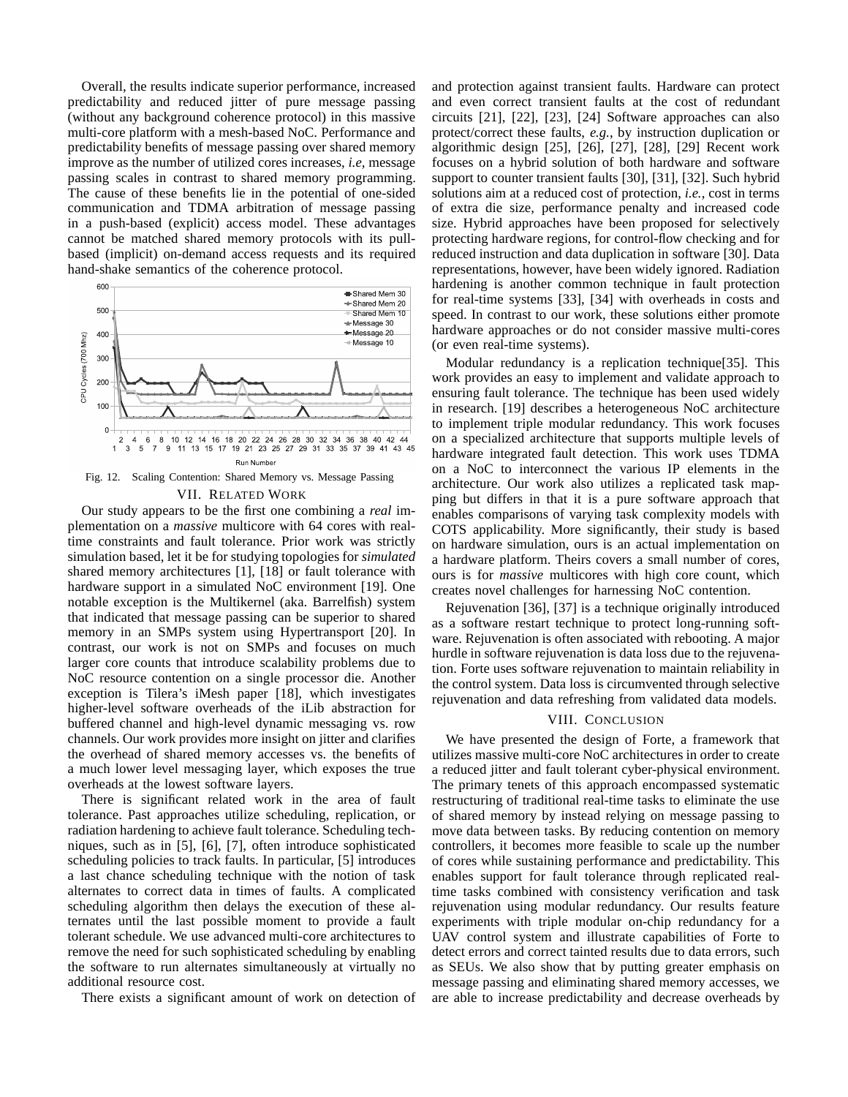Overall, the results indicate superior performance, increased predictability and reduced jitter of pure message passing (without any background coherence protocol) in this massive multi-core platform with a mesh-based NoC. Performance and predictability benefits of message passing over shared memory improve as the number of utilized cores increases, *i.e,* message passing scales in contrast to shared memory programming. The cause of these benefits lie in the potential of one-sided communication and TDMA arbitration of message passing in a push-based (explicit) access model. These advantages cannot be matched shared memory protocols with its pullbased (implicit) on-demand access requests and its required hand-shake semantics of the coherence protocol.



Fig. 12. Scaling Contention: Shared Memory vs. Message Passing VII. RELATED WORK

Our study appears to be the first one combining a *real* implementation on a *massive* multicore with 64 cores with realtime constraints and fault tolerance. Prior work was strictly simulation based, let it be for studying topologies for *simulated* shared memory architectures [1], [18] or fault tolerance with hardware support in a simulated NoC environment [19]. One notable exception is the Multikernel (aka. Barrelfish) system that indicated that message passing can be superior to shared memory in an SMPs system using Hypertransport [20]. In contrast, our work is not on SMPs and focuses on much larger core counts that introduce scalability problems due to NoC resource contention on a single processor die. Another exception is Tilera's iMesh paper [18], which investigates higher-level software overheads of the iLib abstraction for buffered channel and high-level dynamic messaging vs. row channels. Our work provides more insight on jitter and clarifies the overhead of shared memory accesses vs. the benefits of a much lower level messaging layer, which exposes the true overheads at the lowest software layers.

There is significant related work in the area of fault tolerance. Past approaches utilize scheduling, replication, or radiation hardening to achieve fault tolerance. Scheduling techniques, such as in [5], [6], [7], often introduce sophisticated scheduling policies to track faults. In particular, [5] introduces a last chance scheduling technique with the notion of task alternates to correct data in times of faults. A complicated scheduling algorithm then delays the execution of these alternates until the last possible moment to provide a fault tolerant schedule. We use advanced multi-core architectures to remove the need for such sophisticated scheduling by enabling the software to run alternates simultaneously at virtually no additional resource cost.

There exists a significant amount of work on detection of

and protection against transient faults. Hardware can protect and even correct transient faults at the cost of redundant circuits [21], [22], [23], [24] Software approaches can also protect/correct these faults, *e.g.*, by instruction duplication or algorithmic design [25], [26], [27], [28], [29] Recent work focuses on a hybrid solution of both hardware and software support to counter transient faults [30], [31], [32]. Such hybrid solutions aim at a reduced cost of protection, *i.e.*, cost in terms of extra die size, performance penalty and increased code size. Hybrid approaches have been proposed for selectively protecting hardware regions, for control-flow checking and for reduced instruction and data duplication in software [30]. Data representations, however, have been widely ignored. Radiation hardening is another common technique in fault protection for real-time systems [33], [34] with overheads in costs and speed. In contrast to our work, these solutions either promote hardware approaches or do not consider massive multi-cores (or even real-time systems).

Modular redundancy is a replication technique[35]. This work provides an easy to implement and validate approach to ensuring fault tolerance. The technique has been used widely in research. [19] describes a heterogeneous NoC architecture to implement triple modular redundancy. This work focuses on a specialized architecture that supports multiple levels of hardware integrated fault detection. This work uses TDMA on a NoC to interconnect the various IP elements in the architecture. Our work also utilizes a replicated task mapping but differs in that it is a pure software approach that enables comparisons of varying task complexity models with COTS applicability. More significantly, their study is based on hardware simulation, ours is an actual implementation on a hardware platform. Theirs covers a small number of cores, ours is for *massive* multicores with high core count, which creates novel challenges for harnessing NoC contention.

Rejuvenation [36], [37] is a technique originally introduced as a software restart technique to protect long-running software. Rejuvenation is often associated with rebooting. A major hurdle in software rejuvenation is data loss due to the rejuvenation. Forte uses software rejuvenation to maintain reliability in the control system. Data loss is circumvented through selective rejuvenation and data refreshing from validated data models.

#### VIII. CONCLUSION

We have presented the design of Forte, a framework that utilizes massive multi-core NoC architectures in order to create a reduced jitter and fault tolerant cyber-physical environment. The primary tenets of this approach encompassed systematic restructuring of traditional real-time tasks to eliminate the use of shared memory by instead relying on message passing to move data between tasks. By reducing contention on memory controllers, it becomes more feasible to scale up the number of cores while sustaining performance and predictability. This enables support for fault tolerance through replicated realtime tasks combined with consistency verification and task rejuvenation using modular redundancy. Our results feature experiments with triple modular on-chip redundancy for a UAV control system and illustrate capabilities of Forte to detect errors and correct tainted results due to data errors, such as SEUs. We also show that by putting greater emphasis on message passing and eliminating shared memory accesses, we are able to increase predictability and decrease overheads by